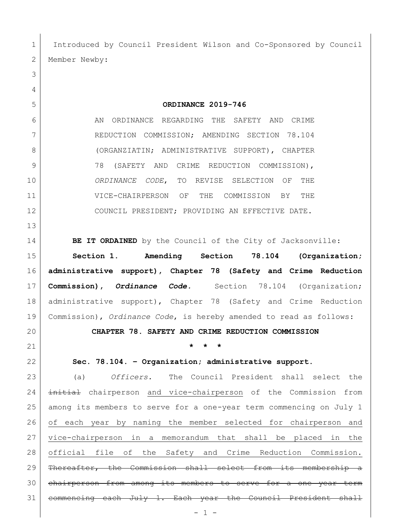1 Introduced by Council President Wilson and Co-Sponsored by Council 2 Member Newby:

**ORDINANCE 2019-746**

6 AN ORDINANCE REGARDING THE SAFETY AND CRIME 7 REDUCTION COMMISSION; AMENDING SECTION 78.104 8 (ORGANZIATIN; ADMINISTRATIVE SUPPORT), CHAPTER 9 78 (SAFETY AND CRIME REDUCTION COMMISSION), *ORDINANCE CODE*, TO REVISE SELECTION OF THE VICE-CHAIRPERSON OF THE COMMISSION BY THE 12 COUNCIL PRESIDENT; PROVIDING AN EFFECTIVE DATE.

**BE IT ORDAINED** by the Council of the City of Jacksonville:

 **Section 1**. **Amending Section 78.104 (Organization; administrative support), Chapter 78 (Safety and Crime Reduction Commission),** *Ordinance Code.* Section 78.104 (Organization; administrative support), Chapter 78 (Safety and Crime Reduction Commission), *Ordinance Code*, is hereby amended to read as follows:

**CHAPTER 78. SAFETY AND CRIME REDUCTION COMMISSION**

**\* \* \***

**Sec. 78.104. – Organization; administrative support.** 

 (a) *Officers.* The Council President shall select the 24 initial chairperson and vice-chairperson of the Commission from among its members to serve for a one-year term commencing on July 1 of each year by naming the member selected for chairperson and vice-chairperson in a memorandum that shall be placed in the official file of the Safety and Crime Reduction Commission. 29 | Thereafter, the Commission shall select from its membership a 30 chairperson from among its members to serve for a one year term commencing each July 1. Each year the Council President shall